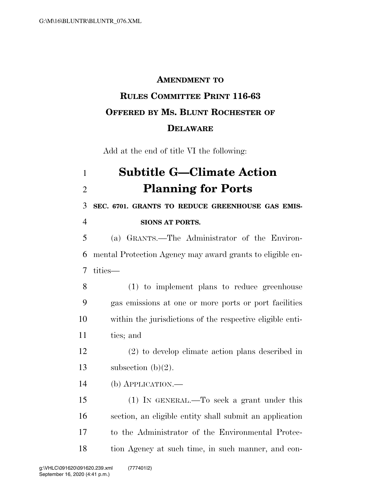## **AMENDMENT TO**

## **RULES COMMITTEE PRINT 116-63 OFFERED BY MS. BLUNT ROCHESTER OF DELAWARE**

Add at the end of title VI the following:

## **Subtitle G—Climate Action Planning for Ports**

 **SEC. 6701. GRANTS TO REDUCE GREENHOUSE GAS EMIS-SIONS AT PORTS.** 

 (a) GRANTS.—The Administrator of the Environ- mental Protection Agency may award grants to eligible en-tities—

 (1) to implement plans to reduce greenhouse gas emissions at one or more ports or port facilities within the jurisdictions of the respective eligible enti-ties; and

 (2) to develop climate action plans described in 13 subsection  $(b)(2)$ .

(b) APPLICATION.—

 (1) IN GENERAL.—To seek a grant under this section, an eligible entity shall submit an application to the Administrator of the Environmental Protec-tion Agency at such time, in such manner, and con-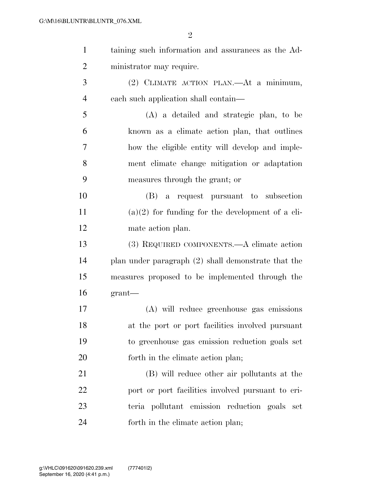| $\mathbf{1}$   | taining such information and assurances as the Ad-    |
|----------------|-------------------------------------------------------|
| $\overline{2}$ | ministrator may require.                              |
| 3              | (2) CLIMATE ACTION PLAN.—At a minimum,                |
| $\overline{4}$ | each such application shall contain—                  |
| 5              | (A) a detailed and strategic plan, to be              |
| 6              | known as a climate action plan, that outlines         |
| $\overline{7}$ | how the eligible entity will develop and imple-       |
| 8              | ment climate change mitigation or adaptation          |
| 9              | measures through the grant; or                        |
| 10             | (B) a request pursuant to subsection                  |
| 11             | $(a)(2)$ for funding for the development of a cli-    |
| 12             | mate action plan.                                     |
| 13             | (3) REQUIRED COMPONENTS.—A climate action             |
| 14             | plan under paragraph $(2)$ shall demonstrate that the |
| 15             | measures proposed to be implemented through the       |
| 16             | grant                                                 |
| 17             | (A) will reduce greenhouse gas emissions              |
| 18             | at the port or port facilities involved pursuant      |
| 19             | to greenhouse gas emission reduction goals set        |
| 20             | forth in the climate action plan;                     |
| 21             | (B) will reduce other air pollutants at the           |
| 22             | port or port facilities involved pursuant to cri-     |
| 23             | teria pollutant emission reduction goals<br>set       |
| 24             | forth in the climate action plan;                     |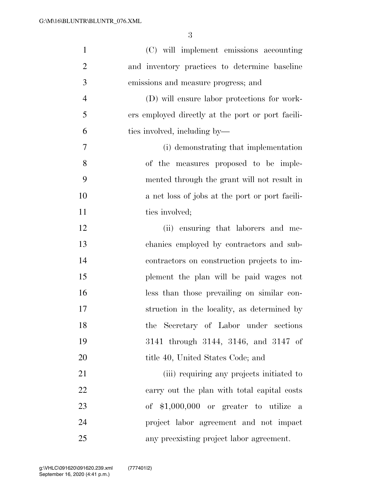| $\mathbf{1}$   | (C) will implement emissions accounting           |
|----------------|---------------------------------------------------|
| $\overline{2}$ | and inventory practices to determine baseline     |
| 3              | emissions and measure progress; and               |
| $\overline{4}$ | (D) will ensure labor protections for work-       |
| 5              | ers employed directly at the port or port facili- |
| 6              | ties involved, including by—                      |
| 7              | (i) demonstrating that implementation             |
| 8              | of the measures proposed to be imple-             |
| 9              | mented through the grant will not result in       |
| 10             | a net loss of jobs at the port or port facili-    |
| 11             | ties involved;                                    |
| 12             | (ii) ensuring that laborers and me-               |
| 13             | chanics employed by contractors and sub-          |
| 14             | contractors on construction projects to im-       |
| 15             | plement the plan will be paid wages not           |
| 16             | less than those prevailing on similar con-        |
| 17             | struction in the locality, as determined by       |
| 18             | the Secretary of Labor under sections             |
| 19             | 3141 through 3144, 3146, and 3147 of              |
| 20             | title 40, United States Code; and                 |
| 21             | (iii) requiring any projects initiated to         |
| 22             | carry out the plan with total capital costs       |
| 23             | of \$1,000,000 or greater to utilize a            |
| 24             | project labor agreement and not impact            |
| 25             | any preexisting project labor agreement.          |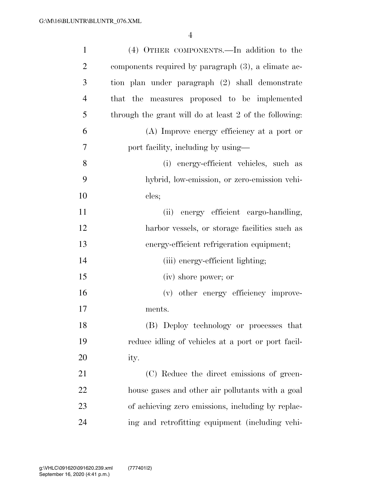| $\mathbf{1}$   | (4) OTHER COMPONENTS.—In addition to the               |
|----------------|--------------------------------------------------------|
| $\overline{2}$ | components required by paragraph (3), a climate ac-    |
| 3              | tion plan under paragraph (2) shall demonstrate        |
| $\overline{4}$ | that the measures proposed to be implemented           |
| 5              | through the grant will do at least 2 of the following: |
| 6              | (A) Improve energy efficiency at a port or             |
| 7              | port facility, including by using—                     |
| 8              | (i) energy-efficient vehicles, such as                 |
| 9              | hybrid, low-emission, or zero-emission vehi-           |
| 10             | cles;                                                  |
| 11             | (ii) energy efficient cargo-handling,                  |
| 12             | harbor vessels, or storage facilities such as          |
| 13             | energy-efficient refrigeration equipment;              |
| 14             | (iii) energy-efficient lighting;                       |
| 15             | (iv) shore power; or                                   |
| 16             | (v) other energy efficiency improve-                   |
| 17             | ments.                                                 |
| 18             | (B) Deploy technology or processes that                |
| 19             | reduce idling of vehicles at a port or port facil-     |
| 20             | ity.                                                   |
| 21             | (C) Reduce the direct emissions of green-              |
| 22             | house gases and other air pollutants with a goal       |
| 23             | of achieving zero emissions, including by replac-      |
| 24             | ing and retrofitting equipment (including vehi-        |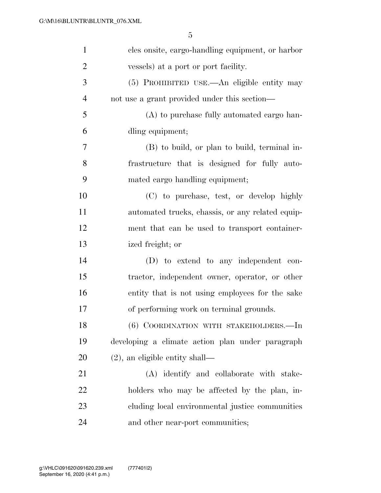| $\mathbf{1}$   | cles onsite, cargo-handling equipment, or harbor |
|----------------|--------------------------------------------------|
| $\overline{2}$ | vessels) at a port or port facility.             |
| 3              | (5) PROHIBITED USE.—An eligible entity may       |
| $\overline{4}$ | not use a grant provided under this section—     |
| 5              | (A) to purchase fully automated cargo han-       |
| 6              | dling equipment;                                 |
| 7              | (B) to build, or plan to build, terminal in-     |
| 8              | frastructure that is designed for fully auto-    |
| 9              | mated cargo handling equipment;                  |
| 10             | (C) to purchase, test, or develop highly         |
| 11             | automated trucks, chassis, or any related equip- |
| 12             | ment that can be used to transport container-    |
| 13             | ized freight; or                                 |
| 14             | (D) to extend to any independent con-            |
| 15             | tractor, independent owner, operator, or other   |
| 16             | entity that is not using employees for the sake  |
| 17             | of performing work on terminal grounds.          |
| 18             | (6) COORDINATION WITH STAKEHOLDERS.-In           |
| 19             | developing a climate action plan under paragraph |
| 20             | $(2)$ , an eligible entity shall—                |
| 21             | (A) identify and collaborate with stake-         |
| 22             | holders who may be affected by the plan, in-     |
| 23             | cluding local environmental justice communities  |
| 24             | and other near-port communities;                 |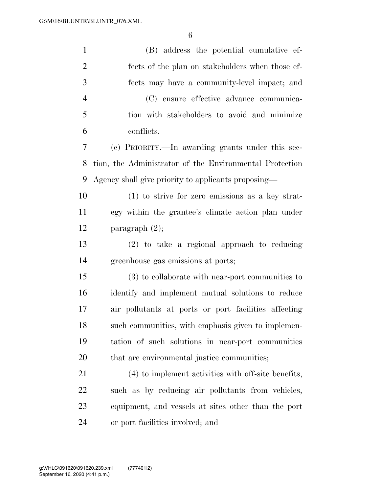| $\mathbf{1}$   | (B) address the potential cumulative ef-                |
|----------------|---------------------------------------------------------|
| $\overline{2}$ | fects of the plan on stakeholders when those ef-        |
| 3              | fects may have a community-level impact; and            |
| $\overline{4}$ | (C) ensure effective advance communica-                 |
| 5              | tion with stakeholders to avoid and minimize            |
| 6              | conflicts.                                              |
| 7              | (c) PRIORITY.—In awarding grants under this sec-        |
| 8              | tion, the Administrator of the Environmental Protection |
| 9              | Agency shall give priority to applicants proposing—     |
| 10             | $(1)$ to strive for zero emissions as a key strat-      |
| 11             | egy within the grantee's climate action plan under      |
| 12             | paragraph $(2)$ ;                                       |
| 13             | (2) to take a regional approach to reducing             |
| 14             | greenhouse gas emissions at ports;                      |
| 15             | $(3)$ to collaborate with near-port communities to      |
| 16             | identify and implement mutual solutions to reduce       |
| 17             | air pollutants at ports or port facilities affecting    |
| 18             | such communities, with emphasis given to implemen-      |
| 19             | tation of such solutions in near-port communities       |
| 20             | that are environmental justice communities;             |
| 21             | (4) to implement activities with off-site benefits,     |
| 22             | such as by reducing air pollutants from vehicles,       |
| 23             | equipment, and vessels at sites other than the port     |
| 24             | or port facilities involved; and                        |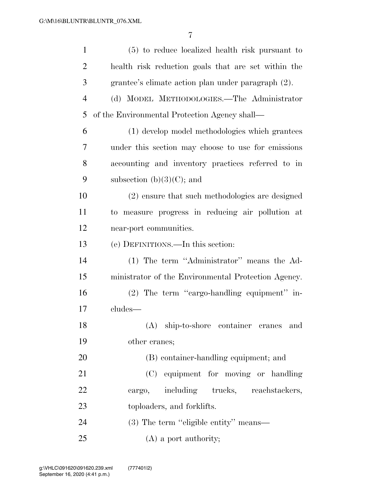| $\mathbf{1}$   | (5) to reduce localized health risk pursuant to     |
|----------------|-----------------------------------------------------|
| $\overline{2}$ | health risk reduction goals that are set within the |
| 3              | grantee's climate action plan under paragraph (2).  |
| $\overline{4}$ | (d) MODEL METHODOLOGIES.—The Administrator          |
| 5              | of the Environmental Protection Agency shall—       |
| 6              | (1) develop model methodologies which grantees      |
| 7              | under this section may choose to use for emissions  |
| 8              | accounting and inventory practices referred to in   |
| 9              | subsection $(b)(3)(C)$ ; and                        |
| 10             | (2) ensure that such methodologies are designed     |
| 11             | to measure progress in reducing air pollution at    |
| 12             | near-port communities.                              |
| 13             | (e) DEFINITIONS.—In this section:                   |
| 14             | (1) The term "Administrator" means the Ad-          |
| 15             | ministrator of the Environmental Protection Agency. |
| 16             | (2) The term "cargo-handling equipment" in-         |
| 17             | cludes—                                             |
| 18             | (A) ship-to-shore container cranes and              |
| 19             | other cranes;                                       |
| 20             | (B) container-handling equipment; and               |
| 21             | (C) equipment for moving or handling                |
| 22             | including trucks, reachstackers,<br>cargo,          |
| 23             | toploaders, and forklifts.                          |
| 24             | (3) The term "eligible entity" means—               |
| 25             | $(A)$ a port authority;                             |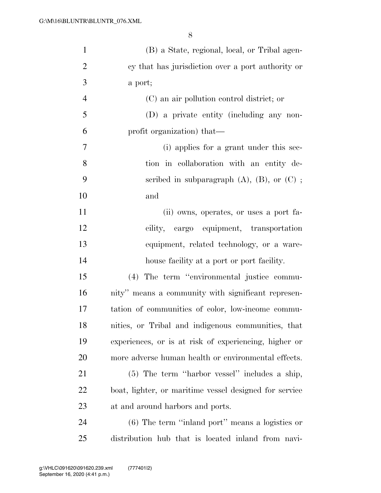| $\mathbf{1}$   | (B) a State, regional, local, or Tribal agen-          |
|----------------|--------------------------------------------------------|
| $\overline{2}$ | cy that has jurisdiction over a port authority or      |
| 3              | a port;                                                |
| $\overline{4}$ | (C) an air pollution control district; or              |
| 5              | (D) a private entity (including any non-               |
| 6              | profit organization) that—                             |
| $\overline{7}$ | (i) applies for a grant under this sec-                |
| 8              | tion in collaboration with an entity de-               |
| 9              | scribed in subparagraph $(A)$ , $(B)$ , or $(C)$ ;     |
| 10             | and                                                    |
| 11             | (ii) owns, operates, or uses a port fa-                |
| 12             | cility, cargo equipment, transportation                |
| 13             | equipment, related technology, or a ware-              |
| 14             | house facility at a port or port facility.             |
| 15             | (4) The term "environmental justice commu-             |
| 16             | nity" means a community with significant represen-     |
| 17             | tation of communities of color, low-income commu-      |
| 18             | nities, or Tribal and indigenous communities, that     |
| 19             | experiences, or is at risk of experiencing, higher or  |
| 20             | more adverse human health or environmental effects.    |
| 21             | $(5)$ The term "harbor vessel" includes a ship,        |
| 22             | boat, lighter, or maritime vessel designed for service |
| 23             | at and around harbors and ports.                       |
| 24             | $(6)$ The term "inland port" means a logistics or      |
| 25             | distribution hub that is located inland from navi-     |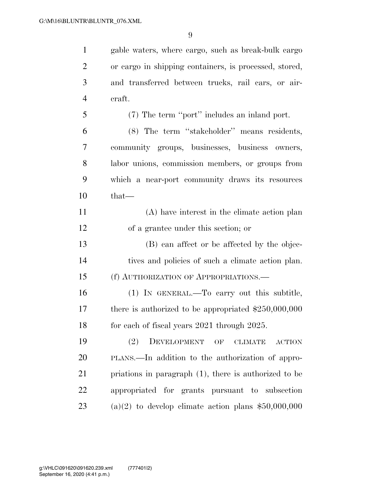gable waters, where cargo, such as break-bulk cargo or cargo in shipping containers, is processed, stored, and transferred between trucks, rail cars, or air- craft. (7) The term ''port'' includes an inland port.

 (8) The term ''stakeholder'' means residents, community groups, businesses, business owners, labor unions, commission members, or groups from which a near-port community draws its resources that—

 (A) have interest in the climate action plan of a grantee under this section; or

 (B) can affect or be affected by the objec- tives and policies of such a climate action plan. (f) AUTHORIZATION OF APPROPRIATIONS.—

 (1) IN GENERAL.—To carry out this subtitle, there is authorized to be appropriated \$250,000,000 18 for each of fiscal years 2021 through 2025.

 (2) DEVELOPMENT OF CLIMATE ACTION PLANS.—In addition to the authorization of appro- priations in paragraph (1), there is authorized to be appropriated for grants pursuant to subsection 23 (a)(2) to develop climate action plans  $$50,000,000$